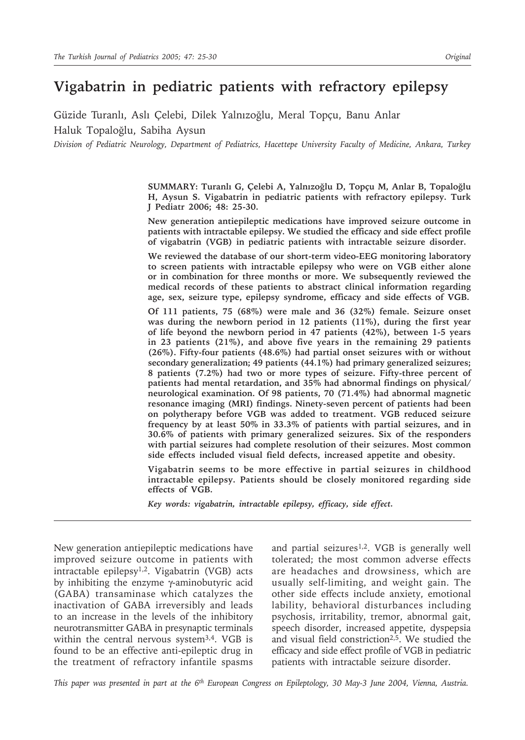# **Vigabatrin in pediatric patients with refractory epilepsy**

Güzide Turanlı, Aslı Çelebi, Dilek Yalnızoğlu, Meral Topçu, Banu Anlar Haluk Topaloğlu, Sabiha Aysun

*Division of Pediatric Neurology, Department of Pediatrics, Hacettepe University Faculty of Medicine, Ankara, Turkey* 

**SUMMARY: Turanlı G, Çelebi A, Yalnızoğlu D, Topçu M, Anlar B, Topaloğlu H, Aysun S. Vigabatrin in pediatric patients with refractory epilepsy. Turk J Pediatr 2006; 48: 25-30.**

**New generation antiepileptic medications have improved seizure outcome in patients with intractable epilepsy. We studied the efficacy and side effect profile of vigabatrin (VGB) in pediatric patients with intractable seizure disorder.**

**We reviewed the database of our short-term video-EEG monitoring laboratory to screen patients with intractable epilepsy who were on VGB either alone or in combination for three months or more. We subsequently reviewed the medical records of these patients to abstract clinical information regarding age, sex, seizure type, epilepsy syndrome, efficacy and side effects of VGB.**

**Of 111 patients, 75 (68%) were male and 36 (32%) female. Seizure onset was during the newborn period in 12 patients (11%), during the first year of life beyond the newborn period in 47 patients (42%), between 1-5 years in 23 patients (21%), and above five years in the remaining 29 patients (26%). Fifty-four patients (48.6%) had partial onset seizures with or without secondary generalization; 49 patients (44.1%) had primary generalized seizures; 8 patients (7.2%) had two or more types of seizure. Fifty-three percent of patients had mental retardation, and 35% had abnormal findings on physical/ neurological examination. Of 98 patients, 70 (71.4%) had abnormal magnetic resonance imaging (MRI) findings. Ninety-seven percent of patients had been on polytherapy before VGB was added to treatment. VGB reduced seizure frequency by at least 50% in 33.3% of patients with partial seizures, and in 30.6% of patients with primary generalized seizures. Six of the responders with partial seizures had complete resolution of their seizures. Most common side effects included visual field defects, increased appetite and obesity.**

**Vigabatrin seems to be more effective in partial seizures in childhood intractable epilepsy. Patients should be closely monitored regarding side effects of VGB.**

*Key words: vigabatrin, intractable epilepsy, efficacy, side effect.*

New generation antiepileptic medications have improved seizure outcome in patients with intractable epilepsy1,2. Vigabatrin (VGB) acts by inhibiting the enzyme γ-aminobutyric acid (GABA) transaminase which catalyzes the inactivation of GABA irreversibly and leads to an increase in the levels of the inhibitory neurotransmitter GABA in presynaptic terminals within the central nervous system3,4. VGB is found to be an effective anti-epileptic drug in the treatment of refractory infantile spasms

and partial seizures<sup>1,2</sup>. VGB is generally well tolerated; the most common adverse effects are headaches and drowsiness, which are usually self-limiting, and weight gain. The other side effects include anxiety, emotional lability, behavioral disturbances including psychosis, irritability, tremor, abnormal gait, speech disorder, increased appetite, dyspepsia and visual field constriction<sup>2,5</sup>. We studied the efficacy and side effect profile of VGB in pediatric patients with intractable seizure disorder.

*This paper was presented in part at the 6th European Congress on Epileptology, 30 May-3 June 2004, Vienna, Austria.*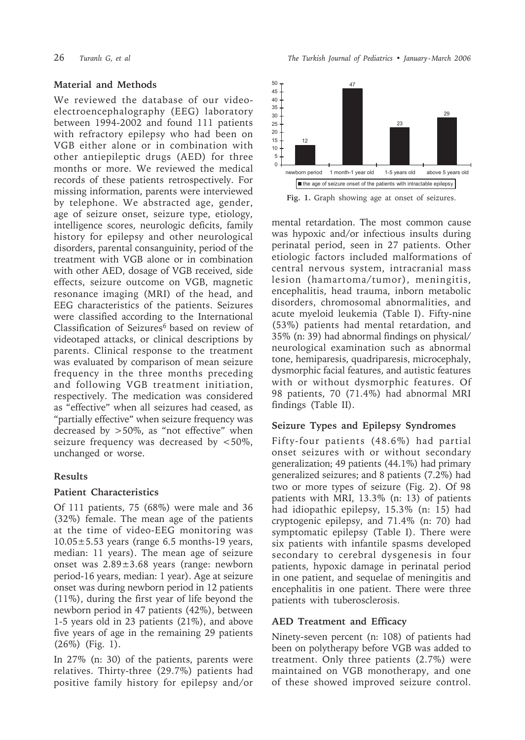### **Material and Methods**

We reviewed the database of our videoelectroencephalography (EEG) laboratory between 1994-2002 and found 111 patients with refractory epilepsy who had been on VGB either alone or in combination with other antiepileptic drugs (AED) for three months or more. We reviewed the medical records of these patients retrospectively. For missing information, parents were interviewed by telephone. We abstracted age, gender, age of seizure onset, seizure type, etiology, intelligence scores, neurologic deficits, family history for epilepsy and other neurological disorders, parental consanguinity, period of the treatment with VGB alone or in combination with other AED, dosage of VGB received, side effects, seizure outcome on VGB, magnetic resonance imaging (MRI) of the head, and EEG characteristics of the patients. Seizures were classified according to the International Classification of Seizures<sup>6</sup> based on review of videotaped attacks, or clinical descriptions by parents. Clinical response to the treatment was evaluated by comparison of mean seizure frequency in the three months preceding and following VGB treatment initiation, respectively. The medication was considered as "effective" when all seizures had ceased, as "partially effective" when seizure frequency was decreased by >50%, as "not effective" when seizure frequency was decreased by <50%, unchanged or worse.

# **Results**

### **Patient Characteristics**

Of 111 patients, 75 (68%) were male and 36 (32%) female. The mean age of the patients at the time of video-EEG monitoring was  $10.05 \pm 5.53$  years (range 6.5 months-19 years, median: 11 years). The mean age of seizure onset was 2.89±3.68 years (range: newborn period-16 years, median: 1 year). Age at seizure onset was during newborn period in 12 patients (11%), during the first year of life beyond the newborn period in 47 patients (42%), between 1-5 years old in 23 patients (21%), and above five years of age in the remaining 29 patients (26%) (Fig. 1).

In 27% (n: 30) of the patients, parents were relatives. Thirty-three (29.7%) patients had positive family history for epilepsy and/or



**Fig. 1.** Graph showing age at onset of seizures.

mental retardation. The most common cause was hypoxic and/or infectious insults during perinatal period, seen in 27 patients. Other etiologic factors included malformations of central nervous system, intracranial mass lesion (hamartoma/tumor), meningitis, encephalitis, head trauma, inborn metabolic disorders, chromosomal abnormalities, and acute myeloid leukemia (Table I). Fifty-nine (53%) patients had mental retardation, and 35% (n: 39) had abnormal findings on physical/ neurological examination such as abnormal tone, hemiparesis, quadriparesis, microcephaly, dysmorphic facial features, and autistic features with or without dysmorphic features. Of 98 patients, 70 (71.4%) had abnormal MRI findings (Table II).

### **Seizure Types and Epilepsy Syndromes**

Fifty-four patients (48.6%) had partial onset seizures with or without secondary generalization; 49 patients (44.1%) had primary generalized seizures; and 8 patients (7.2%) had two or more types of seizure (Fig. 2). Of 98 patients with MRI, 13.3% (n: 13) of patients had idiopathic epilepsy, 15.3% (n: 15) had cryptogenic epilepsy, and 71.4% (n: 70) had symptomatic epilepsy (Table I). There were six patients with infantile spasms developed secondary to cerebral dysgenesis in four patients, hypoxic damage in perinatal period in one patient, and sequelae of meningitis and encephalitis in one patient. There were three patients with tuberosclerosis.

# **AED Treatment and Efficacy**

Ninety-seven percent (n: 108) of patients had been on polytherapy before VGB was added to treatment. Only three patients (2.7%) were maintained on VGB monotherapy, and one of these showed improved seizure control.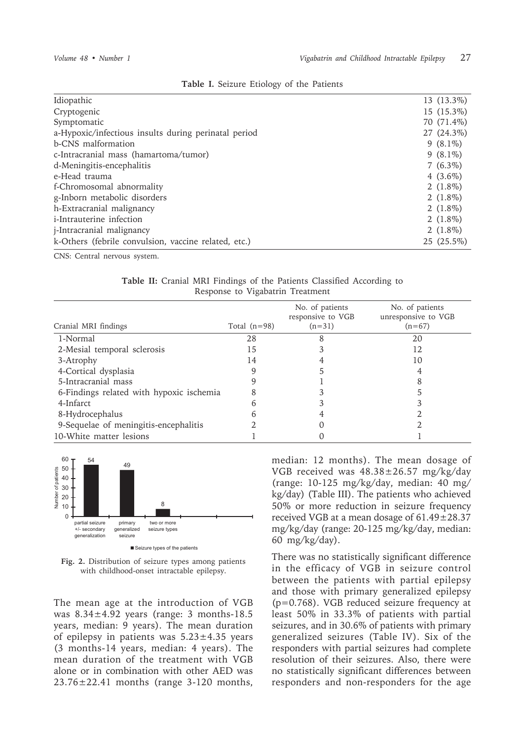| Idiopathic                                           | 13 (13.3%)  |
|------------------------------------------------------|-------------|
| Cryptogenic                                          | 15 (15.3%)  |
| Symptomatic                                          | 70 (71.4%)  |
| a-Hypoxic/infectious insults during perinatal period | 27 (24.3%)  |
| b-CNS malformation                                   | $9(8.1\%)$  |
| c-Intracranial mass (hamartoma/tumor)                | $9(8.1\%)$  |
| d-Meningitis-encephalitis                            | $7(6.3\%)$  |
| e-Head trauma                                        | 4 $(3.6\%)$ |
| f-Chromosomal abnormality                            | 2 $(1.8\%)$ |
| g-Inborn metabolic disorders                         | 2 $(1.8\%)$ |
| h-Extracranial malignancy                            | 2 $(1.8\%)$ |
| <i>i</i> -Intrauterine infection                     | 2 $(1.8\%)$ |
| <i>i</i> -Intracranial malignancy                    | 2 $(1.8\%)$ |
| k-Others (febrile convulsion, vaccine related, etc.) | 25 (25.5%)  |

#### **Table I.** Seizure Etiology of the Patients

CNS: Central nervous system.

|  |  |                                  |  | Table II: Cranial MRI Findings of the Patients Classified According to |  |
|--|--|----------------------------------|--|------------------------------------------------------------------------|--|
|  |  | Response to Vigabatrin Treatment |  |                                                                        |  |

| Cranial MRI findings                     | Total $(n=98)$ | No. of patients<br>responsive to VGB<br>$(n=31)$ | No. of patients<br>unresponsive to VGB<br>$(n=67)$ |
|------------------------------------------|----------------|--------------------------------------------------|----------------------------------------------------|
| 1-Normal                                 | 28             |                                                  | 20                                                 |
| 2-Mesial temporal sclerosis              | 15             |                                                  | 12                                                 |
| 3-Atrophy                                | 14             |                                                  | 10                                                 |
| 4-Cortical dysplasia                     |                |                                                  |                                                    |
| 5-Intracranial mass                      |                |                                                  |                                                    |
| 6-Findings related with hypoxic ischemia |                |                                                  |                                                    |
| 4-Infarct                                |                |                                                  |                                                    |
| 8-Hydrocephalus                          |                |                                                  |                                                    |
| 9-Sequelae of meningitis-encephalitis    |                |                                                  |                                                    |
| 10-White matter lesions                  |                |                                                  |                                                    |



**Fig. 2.** Distribution of seizure types among patients with childhood-onset intractable epilepsy.

The mean age at the introduction of VGB was 8.34±4.92 years (range: 3 months-18.5 years, median: 9 years). The mean duration of epilepsy in patients was  $5.23 \pm 4.35$  years (3 months-14 years, median: 4 years). The mean duration of the treatment with VGB alone or in combination with other AED was 23.76±22.41 months (range 3-120 months, median: 12 months). The mean dosage of VGB received was 48.38±26.57 mg/kg/day (range: 10-125 mg/kg/day, median: 40 mg/ kg/day) (Table III). The patients who achieved 50% or more reduction in seizure frequency received VGB at a mean dosage of 61.49±28.37 mg/kg/day (range: 20-125 mg/kg/day, median: 60 mg/kg/day).

There was no statistically significant difference in the efficacy of VGB in seizure control between the patients with partial epilepsy and those with primary generalized epilepsy (p=0.768). VGB reduced seizure frequency at least 50% in 33.3% of patients with partial seizures, and in 30.6% of patients with primary generalized seizures (Table IV). Six of the responders with partial seizures had complete resolution of their seizures. Also, there were no statistically significant differences between responders and non-responders for the age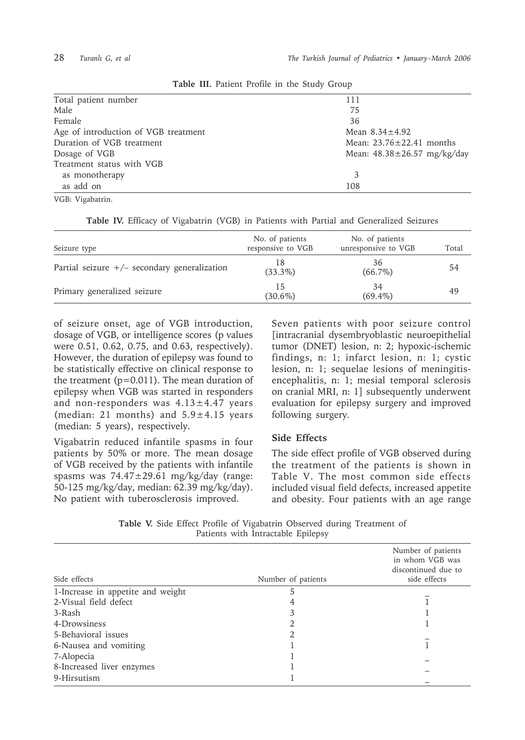| Total patient number                 | 111                               |
|--------------------------------------|-----------------------------------|
| Male                                 | 75                                |
| Female                               | 36                                |
| Age of introduction of VGB treatment | Mean $8.34 \pm 4.92$              |
| Duration of VGB treatment            | Mean: $23.76 \pm 22.41$ months    |
| Dosage of VGB                        | Mean: $48.38 \pm 26.57$ mg/kg/day |
| Treatment status with VGB            |                                   |
| as monotherapy                       | 3                                 |
| as add on                            | 108                               |
| VGB: Vigabatrin.                     |                                   |

**Table III.** Patient Profile in the Study Group

|  |  |  |  |  |  |  |  |  |  |  | Table IV. Efficacy of Vigabatrin (VGB) in Patients with Partial and Generalized Seizures |  |
|--|--|--|--|--|--|--|--|--|--|--|------------------------------------------------------------------------------------------|--|
|--|--|--|--|--|--|--|--|--|--|--|------------------------------------------------------------------------------------------|--|

| Seizure type                                   | No. of patients<br>responsive to VGB | No. of patients<br>unresponsive to VGB | Total |
|------------------------------------------------|--------------------------------------|----------------------------------------|-------|
| Partial seizure $+/-$ secondary generalization | 18<br>$(33.3\%)$                     | 36<br>$(66.7\%)$                       | 54    |
| Primary generalized seizure                    | 15<br>$(30.6\%)$                     | 34<br>$(69.4\%)$                       | 49    |

of seizure onset, age of VGB introduction, dosage of VGB, or intelligence scores (p values were 0.51, 0.62, 0.75, and 0.63, respectively). However, the duration of epilepsy was found to be statistically effective on clinical response to the treatment  $(p=0.011)$ . The mean duration of epilepsy when VGB was started in responders and non-responders was  $4.13 \pm 4.47$  years (median: 21 months) and  $5.9 \pm 4.15$  years (median: 5 years), respectively.

Vigabatrin reduced infantile spasms in four patients by 50% or more. The mean dosage of VGB received by the patients with infantile spasms was 74.47±29.61 mg/kg/day (range: 50-125 mg/kg/day, median: 62.39 mg/kg/day). No patient with tuberosclerosis improved.

Seven patients with poor seizure control [intracranial dysembryoblastic neuroepithelial tumor (DNET) lesion, n: 2; hypoxic-ischemic findings, n: 1; infarct lesion, n: 1; cystic lesion, n: 1; sequelae lesions of meningitisencephalitis, n: 1; mesial temporal sclerosis on cranial MRI, n: 1] subsequently underwent evaluation for epilepsy surgery and improved following surgery.

### **Side Effects**

The side effect profile of VGB observed during the treatment of the patients is shown in Table V. The most common side effects included visual field defects, increased appetite and obesity. Four patients with an age range

**Table V.** Side Effect Profile of Vigabatrin Observed during Treatment of Patients with Intractable Epilepsy

| Side effects                      | Number of patients | Number of patients<br>in whom VGB was<br>discontinued due to<br>side effects |
|-----------------------------------|--------------------|------------------------------------------------------------------------------|
| 1-Increase in appetite and weight | 5                  |                                                                              |
| 2-Visual field defect             | 4                  |                                                                              |
| 3-Rash                            | 3                  |                                                                              |
| 4-Drowsiness                      |                    |                                                                              |
| 5-Behavioral issues               |                    |                                                                              |
| 6-Nausea and vomiting             |                    |                                                                              |
| 7-Alopecia                        |                    |                                                                              |
| 8-Increased liver enzymes         |                    |                                                                              |
| 9-Hirsutism                       |                    |                                                                              |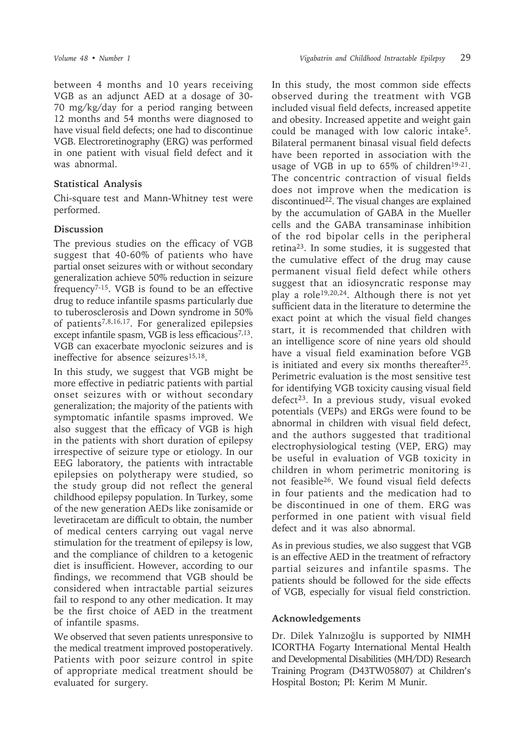between 4 months and 10 years receiving VGB as an adjunct AED at a dosage of 30- 70 mg/kg/day for a period ranging between 12 months and 54 months were diagnosed to have visual field defects; one had to discontinue VGB. Electroretinography (ERG) was performed in one patient with visual field defect and it was abnormal.

### **Statistical Analysis**

Chi-square test and Mann-Whitney test were performed.

# **Discussion**

The previous studies on the efficacy of VGB suggest that 40-60% of patients who have partial onset seizures with or without secondary generalization achieve 50% reduction in seizure frequency7-15. VGB is found to be an effective drug to reduce infantile spasms particularly due to tuberosclerosis and Down syndrome in 50% of patients7,8,16,17. For generalized epilepsies except infantile spasm, VGB is less efficacious<sup>7,13</sup>. VGB can exacerbate myoclonic seizures and is ineffective for absence seizures<sup>15,18</sup>.

In this study, we suggest that VGB might be more effective in pediatric patients with partial onset seizures with or without secondary generalization; the majority of the patients with symptomatic infantile spasms improved. We also suggest that the efficacy of VGB is high in the patients with short duration of epilepsy irrespective of seizure type or etiology. In our EEG laboratory, the patients with intractable epilepsies on polytherapy were studied, so the study group did not reflect the general childhood epilepsy population. In Turkey, some of the new generation AEDs like zonisamide or levetiracetam are difficult to obtain, the number of medical centers carrying out vagal nerve stimulation for the treatment of epilepsy is low, and the compliance of children to a ketogenic diet is insufficient. However, according to our findings, we recommend that VGB should be considered when intractable partial seizures fail to respond to any other medication. It may be the first choice of AED in the treatment of infantile spasms.

We observed that seven patients unresponsive to the medical treatment improved postoperatively. Patients with poor seizure control in spite of appropriate medical treatment should be evaluated for surgery.

In this study, the most common side effects observed during the treatment with VGB included visual field defects, increased appetite and obesity. Increased appetite and weight gain could be managed with low caloric intake5. Bilateral permanent binasal visual field defects have been reported in association with the usage of VGB in up to  $65\%$  of children<sup>19-21</sup>. The concentric contraction of visual fields does not improve when the medication is discontinued<sup>22</sup>. The visual changes are explained by the accumulation of GABA in the Mueller cells and the GABA transaminase inhibition of the rod bipolar cells in the peripheral retina23. In some studies, it is suggested that the cumulative effect of the drug may cause permanent visual field defect while others suggest that an idiosyncratic response may play a role19,20,24. Although there is not yet sufficient data in the literature to determine the exact point at which the visual field changes start, it is recommended that children with an intelligence score of nine years old should have a visual field examination before VGB is initiated and every six months thereafter25. Perimetric evaluation is the most sensitive test for identifying VGB toxicity causing visual field defect<sup>23</sup>. In a previous study, visual evoked potentials (VEPs) and ERGs were found to be abnormal in children with visual field defect, and the authors suggested that traditional electrophysiological testing (VEP, ERG) may be useful in evaluation of VGB toxicity in children in whom perimetric monitoring is not feasible26. We found visual field defects in four patients and the medication had to be discontinued in one of them. ERG was performed in one patient with visual field defect and it was also abnormal.

As in previous studies, we also suggest that VGB is an effective AED in the treatment of refractory partial seizures and infantile spasms. The patients should be followed for the side effects of VGB, especially for visual field constriction.

# **Acknowledgements**

Dr. Dilek Yalnızoğlu is supported by NIMH ICORTHA Fogarty International Mental Health and Developmental Disabilities (MH/DD) Research Training Program (D43TW05807) at Children's Hospital Boston; PI: Kerim M Munir.